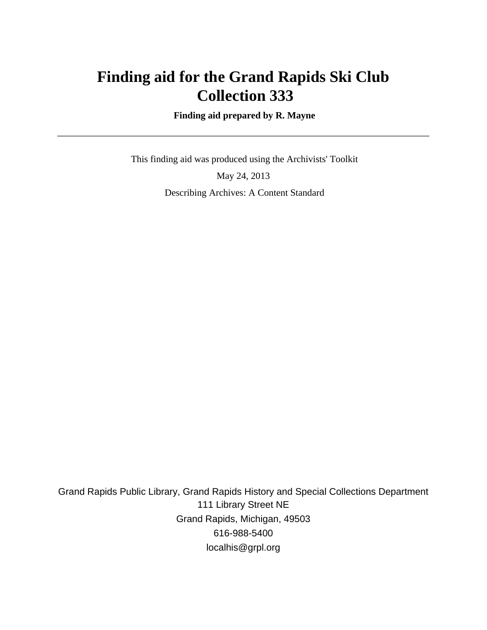# **Finding aid for the Grand Rapids Ski Club Collection 333**

 **Finding aid prepared by R. Mayne**

 This finding aid was produced using the Archivists' Toolkit May 24, 2013 Describing Archives: A Content Standard

Grand Rapids Public Library, Grand Rapids History and Special Collections Department 111 Library Street NE Grand Rapids, Michigan, 49503 616-988-5400 localhis@grpl.org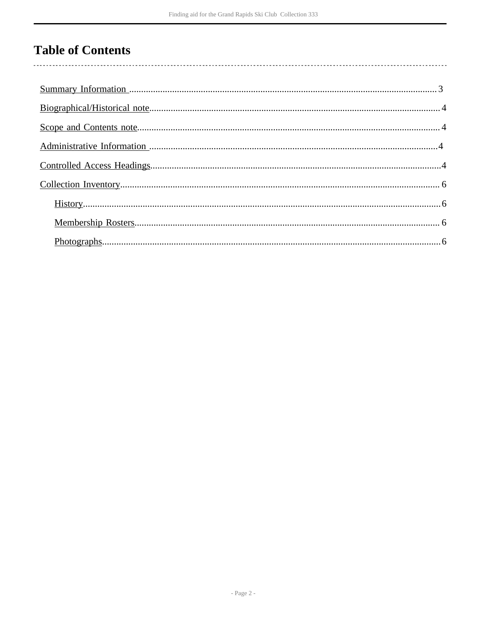# **Table of Contents**

 $\overline{\phantom{a}}$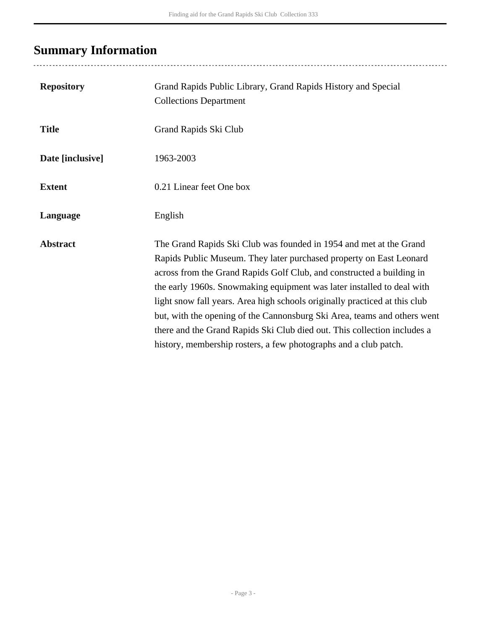# <span id="page-2-0"></span>**Summary Information**

| <b>Repository</b> | Grand Rapids Public Library, Grand Rapids History and Special<br><b>Collections Department</b>                                                                                                                                                                                                                                                                                                                                                                                                                                                                                                         |
|-------------------|--------------------------------------------------------------------------------------------------------------------------------------------------------------------------------------------------------------------------------------------------------------------------------------------------------------------------------------------------------------------------------------------------------------------------------------------------------------------------------------------------------------------------------------------------------------------------------------------------------|
| <b>Title</b>      | Grand Rapids Ski Club                                                                                                                                                                                                                                                                                                                                                                                                                                                                                                                                                                                  |
| Date [inclusive]  | 1963-2003                                                                                                                                                                                                                                                                                                                                                                                                                                                                                                                                                                                              |
| <b>Extent</b>     | 0.21 Linear feet One box                                                                                                                                                                                                                                                                                                                                                                                                                                                                                                                                                                               |
| Language          | English                                                                                                                                                                                                                                                                                                                                                                                                                                                                                                                                                                                                |
| <b>Abstract</b>   | The Grand Rapids Ski Club was founded in 1954 and met at the Grand<br>Rapids Public Museum. They later purchased property on East Leonard<br>across from the Grand Rapids Golf Club, and constructed a building in<br>the early 1960s. Snowmaking equipment was later installed to deal with<br>light snow fall years. Area high schools originally practiced at this club<br>but, with the opening of the Cannonsburg Ski Area, teams and others went<br>there and the Grand Rapids Ski Club died out. This collection includes a<br>history, membership rosters, a few photographs and a club patch. |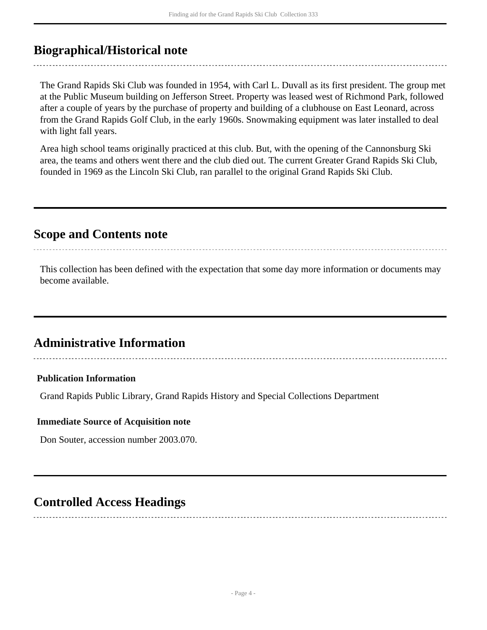## <span id="page-3-0"></span>**Biographical/Historical note**

The Grand Rapids Ski Club was founded in 1954, with Carl L. Duvall as its first president. The group met at the Public Museum building on Jefferson Street. Property was leased west of Richmond Park, followed after a couple of years by the purchase of property and building of a clubhouse on East Leonard, across from the Grand Rapids Golf Club, in the early 1960s. Snowmaking equipment was later installed to deal with light fall years.

Area high school teams originally practiced at this club. But, with the opening of the Cannonsburg Ski area, the teams and others went there and the club died out. The current Greater Grand Rapids Ski Club, founded in 1969 as the Lincoln Ski Club, ran parallel to the original Grand Rapids Ski Club.

## <span id="page-3-1"></span>**Scope and Contents note**

This collection has been defined with the expectation that some day more information or documents may become available.

## <span id="page-3-2"></span>**Administrative Information**

### **Publication Information**

Grand Rapids Public Library, Grand Rapids History and Special Collections Department

#### **Immediate Source of Acquisition note**

Don Souter, accession number 2003.070.

## <span id="page-3-3"></span>**Controlled Access Headings**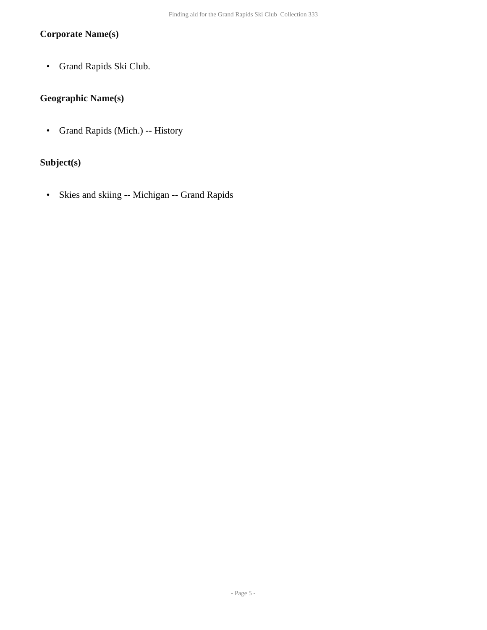### **Corporate Name(s)**

• Grand Rapids Ski Club.

### **Geographic Name(s)**

• Grand Rapids (Mich.) -- History

### **Subject(s)**

• Skies and skiing -- Michigan -- Grand Rapids